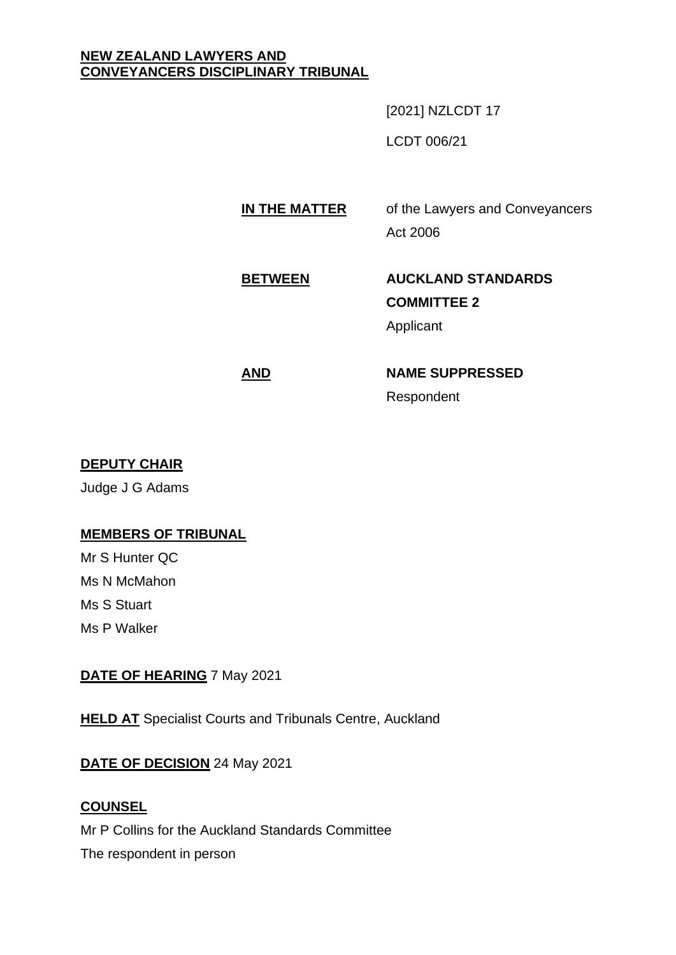#### **NEW ZEALAND LAWYERS AND CONVEYANCERS DISCIPLINARY TRIBUNAL**

[2021] NZLCDT 17

LCDT 006/21

## **IN THE MATTER** of the Lawyers and Conveyancers Act 2006

# **BETWEEN AUCKLAND STANDARDS COMMITTEE 2**

Applicant

## **AND NAME SUPPRESSED** Respondent

### **DEPUTY CHAIR**

Judge J G Adams

### **MEMBERS OF TRIBUNAL**

Mr S Hunter QC Ms N McMahon Ms S Stuart Ms P Walker

#### **DATE OF HEARING** 7 May 2021

**HELD AT** Specialist Courts and Tribunals Centre, Auckland

### **DATE OF DECISION** 24 May 2021

#### **COUNSEL**

Mr P Collins for the Auckland Standards Committee

The respondent in person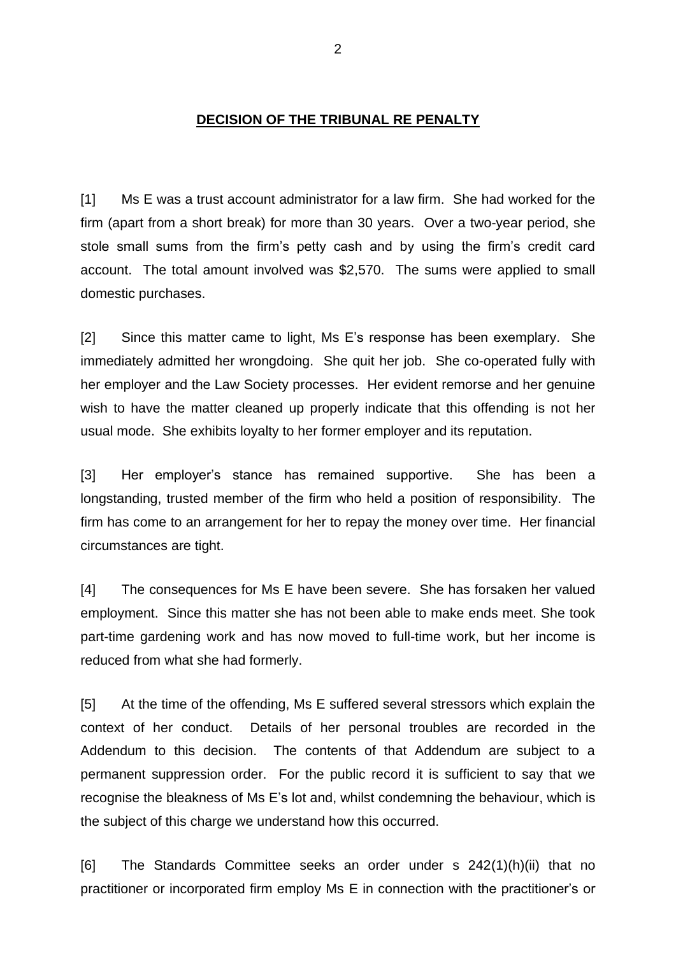#### **DECISION OF THE TRIBUNAL RE PENALTY**

[1] Ms E was a trust account administrator for a law firm. She had worked for the firm (apart from a short break) for more than 30 years. Over a two-year period, she stole small sums from the firm's petty cash and by using the firm's credit card account. The total amount involved was \$2,570. The sums were applied to small domestic purchases.

[2] Since this matter came to light, Ms E's response has been exemplary. She immediately admitted her wrongdoing. She quit her job. She co-operated fully with her employer and the Law Society processes. Her evident remorse and her genuine wish to have the matter cleaned up properly indicate that this offending is not her usual mode. She exhibits loyalty to her former employer and its reputation.

[3] Her employer's stance has remained supportive. She has been a longstanding, trusted member of the firm who held a position of responsibility. The firm has come to an arrangement for her to repay the money over time. Her financial circumstances are tight.

[4] The consequences for Ms E have been severe. She has forsaken her valued employment. Since this matter she has not been able to make ends meet. She took part-time gardening work and has now moved to full-time work, but her income is reduced from what she had formerly.

[5] At the time of the offending, Ms E suffered several stressors which explain the context of her conduct. Details of her personal troubles are recorded in the Addendum to this decision. The contents of that Addendum are subject to a permanent suppression order. For the public record it is sufficient to say that we recognise the bleakness of Ms E's lot and, whilst condemning the behaviour, which is the subject of this charge we understand how this occurred.

[6] The Standards Committee seeks an order under s 242(1)(h)(ii) that no practitioner or incorporated firm employ Ms E in connection with the practitioner's or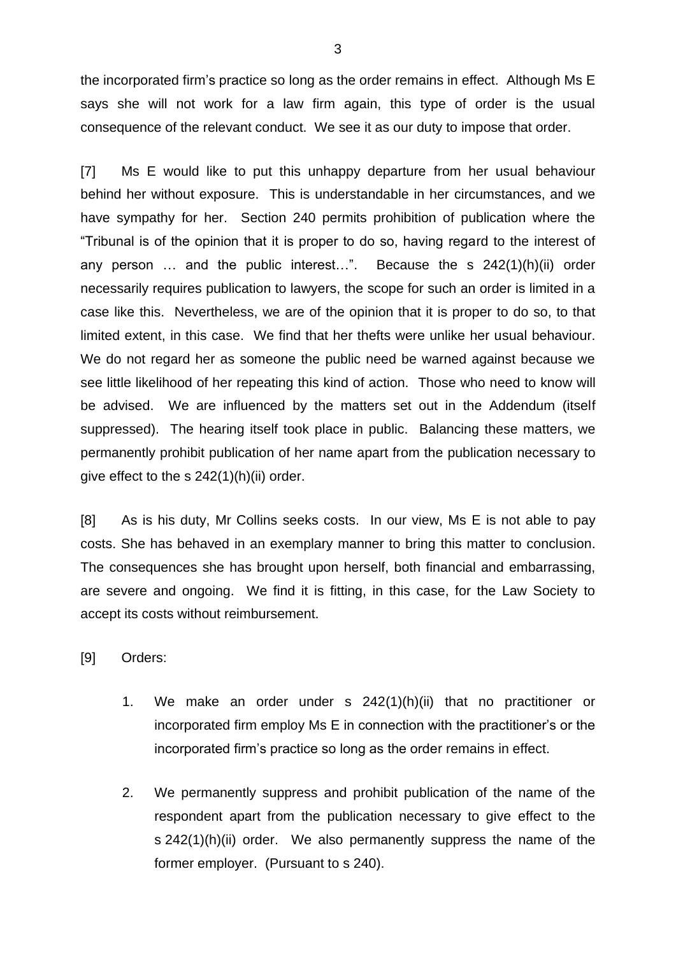the incorporated firm's practice so long as the order remains in effect. Although Ms E says she will not work for a law firm again, this type of order is the usual consequence of the relevant conduct. We see it as our duty to impose that order.

[7] Ms E would like to put this unhappy departure from her usual behaviour behind her without exposure. This is understandable in her circumstances, and we have sympathy for her. Section 240 permits prohibition of publication where the "Tribunal is of the opinion that it is proper to do so, having regard to the interest of any person … and the public interest…". Because the s 242(1)(h)(ii) order necessarily requires publication to lawyers, the scope for such an order is limited in a case like this. Nevertheless, we are of the opinion that it is proper to do so, to that limited extent, in this case. We find that her thefts were unlike her usual behaviour. We do not regard her as someone the public need be warned against because we see little likelihood of her repeating this kind of action. Those who need to know will be advised. We are influenced by the matters set out in the Addendum (itself suppressed). The hearing itself took place in public. Balancing these matters, we permanently prohibit publication of her name apart from the publication necessary to give effect to the s 242(1)(h)(ii) order.

[8] As is his duty, Mr Collins seeks costs. In our view, Ms E is not able to pay costs. She has behaved in an exemplary manner to bring this matter to conclusion. The consequences she has brought upon herself, both financial and embarrassing, are severe and ongoing. We find it is fitting, in this case, for the Law Society to accept its costs without reimbursement.

- [9] Orders:
	- 1. We make an order under s 242(1)(h)(ii) that no practitioner or incorporated firm employ Ms E in connection with the practitioner's or the incorporated firm's practice so long as the order remains in effect.
	- 2. We permanently suppress and prohibit publication of the name of the respondent apart from the publication necessary to give effect to the s 242(1)(h)(ii) order. We also permanently suppress the name of the former employer. (Pursuant to s 240).